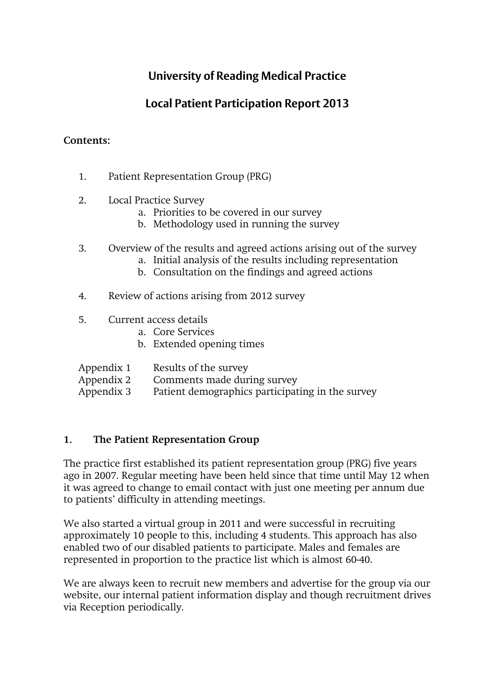# **University of Reading Medical Practice**

# **Local Patient Participation Report 2013**

## **Contents:**

- 1. Patient Representation Group (PRG)
- 2. Local Practice Survey
	- a. Priorities to be covered in our survey
	- b. Methodology used in running the survey
- 3. Overview of the results and agreed actions arising out of the survey
	- a. Initial analysis of the results including representation
	- b. Consultation on the findings and agreed actions
- 4. Review of actions arising from 2012 survey
- 5. Current access details
	- a. Core Services
	- b. Extended opening times
- Appendix 1 Results of the survey
- Appendix 2 Comments made during survey
- Appendix 3 Patient demographics participating in the survey

## **1. The Patient Representation Group**

The practice first established its patient representation group (PRG) five years ago in 2007. Regular meeting have been held since that time until May 12 when it was agreed to change to email contact with just one meeting per annum due to patients' difficulty in attending meetings.

We also started a virtual group in 2011 and were successful in recruiting approximately 10 people to this, including 4 students. This approach has also enabled two of our disabled patients to participate. Males and females are represented in proportion to the practice list which is almost 60-40.

We are always keen to recruit new members and advertise for the group via our website, our internal patient information display and though recruitment drives via Reception periodically.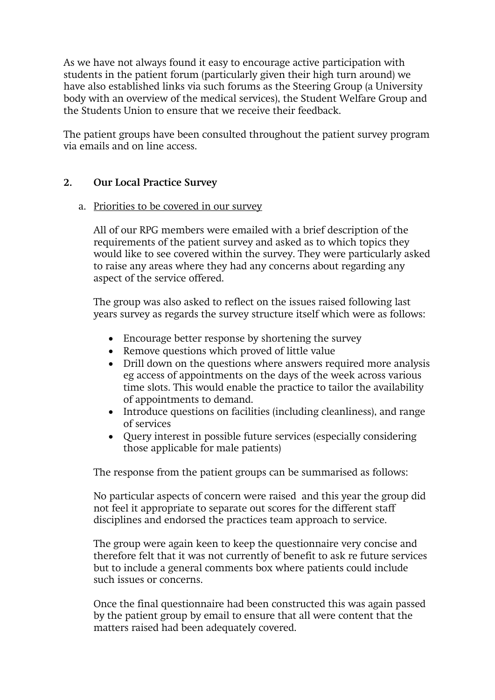As we have not always found it easy to encourage active participation with students in the patient forum (particularly given their high turn around) we have also established links via such forums as the Steering Group (a University body with an overview of the medical services), the Student Welfare Group and the Students Union to ensure that we receive their feedback.

The patient groups have been consulted throughout the patient survey program via emails and on line access.

#### **2. Our Local Practice Survey**

#### a. Priorities to be covered in our survey

All of our RPG members were emailed with a brief description of the requirements of the patient survey and asked as to which topics they would like to see covered within the survey. They were particularly asked to raise any areas where they had any concerns about regarding any aspect of the service offered.

The group was also asked to reflect on the issues raised following last years survey as regards the survey structure itself which were as follows:

- Encourage better response by shortening the survey
- Remove questions which proved of little value
- Drill down on the questions where answers required more analysis eg access of appointments on the days of the week across various time slots. This would enable the practice to tailor the availability of appointments to demand.
- Introduce questions on facilities (including cleanliness), and range of services
- Query interest in possible future services (especially considering those applicable for male patients)

The response from the patient groups can be summarised as follows:

No particular aspects of concern were raised and this year the group did not feel it appropriate to separate out scores for the different staff disciplines and endorsed the practices team approach to service.

The group were again keen to keep the questionnaire very concise and therefore felt that it was not currently of benefit to ask re future services but to include a general comments box where patients could include such issues or concerns.

Once the final questionnaire had been constructed this was again passed by the patient group by email to ensure that all were content that the matters raised had been adequately covered.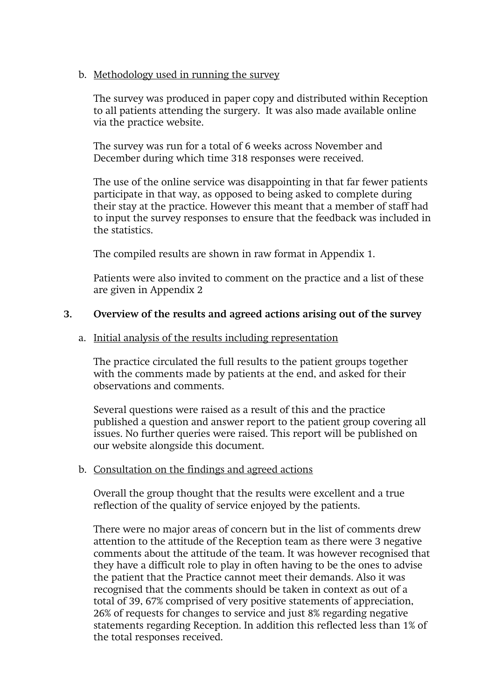#### b. Methodology used in running the survey

The survey was produced in paper copy and distributed within Reception to all patients attending the surgery. It was also made available online via the practice website.

The survey was run for a total of 6 weeks across November and December during which time 318 responses were received.

The use of the online service was disappointing in that far fewer patients participate in that way, as opposed to being asked to complete during their stay at the practice. However this meant that a member of staff had to input the survey responses to ensure that the feedback was included in the statistics.

The compiled results are shown in raw format in Appendix 1.

Patients were also invited to comment on the practice and a list of these are given in Appendix 2

#### **3. Overview of the results and agreed actions arising out of the survey**

#### a. Initial analysis of the results including representation

The practice circulated the full results to the patient groups together with the comments made by patients at the end, and asked for their observations and comments.

Several questions were raised as a result of this and the practice published a question and answer report to the patient group covering all issues. No further queries were raised. This report will be published on our website alongside this document.

#### b. Consultation on the findings and agreed actions

Overall the group thought that the results were excellent and a true reflection of the quality of service enjoyed by the patients.

There were no major areas of concern but in the list of comments drew attention to the attitude of the Reception team as there were 3 negative comments about the attitude of the team. It was however recognised that they have a difficult role to play in often having to be the ones to advise the patient that the Practice cannot meet their demands. Also it was recognised that the comments should be taken in context as out of a total of 39, 67% comprised of very positive statements of appreciation, 26% of requests for changes to service and just 8% regarding negative statements regarding Reception. In addition this reflected less than 1% of the total responses received.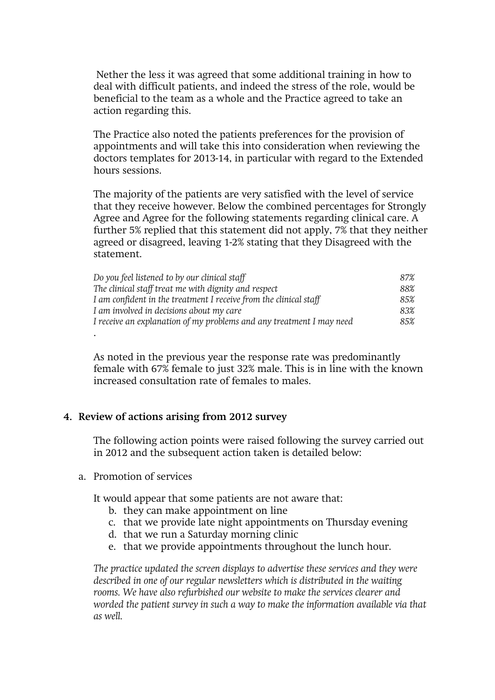Nether the less it was agreed that some additional training in how to deal with difficult patients, and indeed the stress of the role, would be beneficial to the team as a whole and the Practice agreed to take an action regarding this.

The Practice also noted the patients preferences for the provision of appointments and will take this into consideration when reviewing the doctors templates for 2013-14, in particular with regard to the Extended hours sessions.

The majority of the patients are very satisfied with the level of service that they receive however. Below the combined percentages for Strongly Agree and Agree for the following statements regarding clinical care. A further 5% replied that this statement did not apply, 7% that they neither agreed or disagreed, leaving 1-2% stating that they Disagreed with the statement.

| Do you feel listened to by our clinical staff                        | 87% |
|----------------------------------------------------------------------|-----|
| The clinical staff treat me with dignity and respect                 | 88% |
| I am confident in the treatment I receive from the clinical staff    | 85% |
| I am involved in decisions about my care                             | 83% |
| I receive an explanation of my problems and any treatment I may need | 85% |
|                                                                      |     |

As noted in the previous year the response rate was predominantly female with 67% female to just 32% male. This is in line with the known increased consultation rate of females to males.

#### **4. Review of actions arising from 2012 survey**

The following action points were raised following the survey carried out in 2012 and the subsequent action taken is detailed below:

a. Promotion of services

It would appear that some patients are not aware that:

- b. they can make appointment on line
- c. that we provide late night appointments on Thursday evening
- d. that we run a Saturday morning clinic
- e. that we provide appointments throughout the lunch hour.

*The practice updated the screen displays to advertise these services and they were described in one of our regular newsletters which is distributed in the waiting rooms. We have also refurbished our website to make the services clearer and worded the patient survey in such a way to make the information available via that as well.*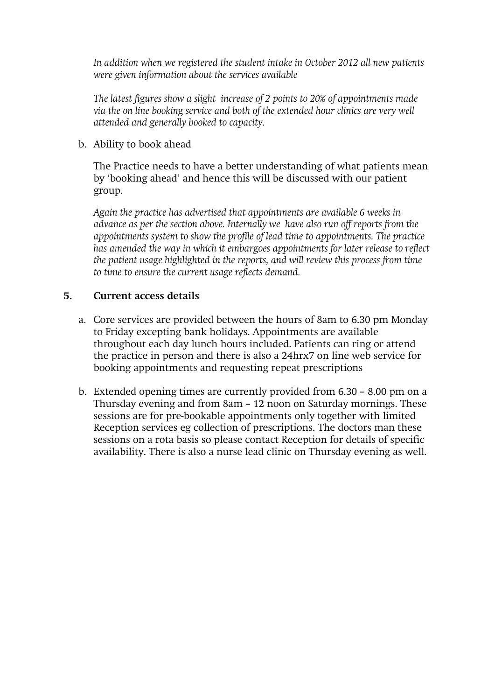*In addition when we registered the student intake in October 2012 all new patients were given information about the services available* 

*The latest figures show a slight increase of 2 points to 20% of appointments made via the on line booking service and both of the extended hour clinics are very well attended and generally booked to capacity.* 

b. Ability to book ahead

The Practice needs to have a better understanding of what patients mean by 'booking ahead' and hence this will be discussed with our patient group.

*Again the practice has advertised that appointments are available 6 weeks in advance as per the section above. Internally we have also run off reports from the appointments system to show the profile of lead time to appointments. The practice has amended the way in which it embargoes appointments for later release to reflect the patient usage highlighted in the reports, and will review this process from time to time to ensure the current usage reflects demand.*

## **5. Current access details**

- a. Core services are provided between the hours of 8am to 6.30 pm Monday to Friday excepting bank holidays. Appointments are available throughout each day lunch hours included. Patients can ring or attend the practice in person and there is also a 24hrx7 on line web service for booking appointments and requesting repeat prescriptions
- b. Extended opening times are currently provided from 6.30 8.00 pm on a Thursday evening and from 8am – 12 noon on Saturday mornings. These sessions are for pre-bookable appointments only together with limited Reception services eg collection of prescriptions. The doctors man these sessions on a rota basis so please contact Reception for details of specific availability. There is also a nurse lead clinic on Thursday evening as well.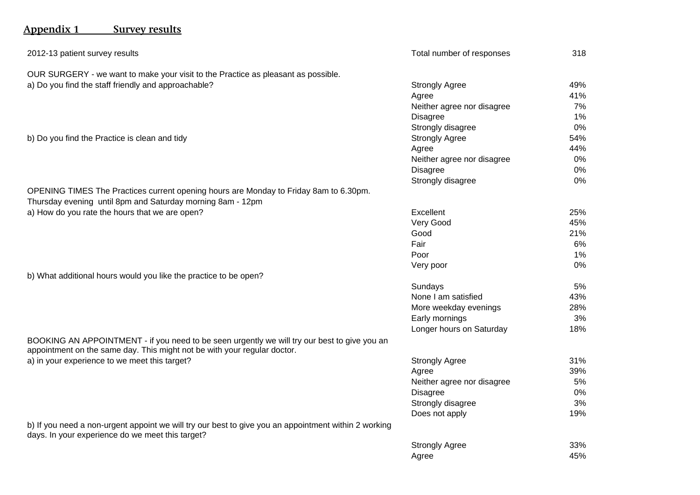# **Appendix 1 Survey results**

| 2012-13 patient survey results                                                                                                                                           | Total number of responses  | 318 |
|--------------------------------------------------------------------------------------------------------------------------------------------------------------------------|----------------------------|-----|
| OUR SURGERY - we want to make your visit to the Practice as pleasant as possible.                                                                                        |                            |     |
| a) Do you find the staff friendly and approachable?                                                                                                                      | <b>Strongly Agree</b>      | 49% |
|                                                                                                                                                                          | Agree                      | 41% |
|                                                                                                                                                                          | Neither agree nor disagree | 7%  |
|                                                                                                                                                                          | <b>Disagree</b>            | 1%  |
|                                                                                                                                                                          | Strongly disagree          | 0%  |
| b) Do you find the Practice is clean and tidy                                                                                                                            | <b>Strongly Agree</b>      | 54% |
|                                                                                                                                                                          | Agree                      | 44% |
|                                                                                                                                                                          | Neither agree nor disagree | 0%  |
|                                                                                                                                                                          | <b>Disagree</b>            | 0%  |
|                                                                                                                                                                          | Strongly disagree          | 0%  |
| OPENING TIMES The Practices current opening hours are Monday to Friday 8am to 6.30pm.                                                                                    |                            |     |
| Thursday evening until 8pm and Saturday morning 8am - 12pm                                                                                                               |                            |     |
| a) How do you rate the hours that we are open?                                                                                                                           | Excellent                  | 25% |
|                                                                                                                                                                          | Very Good                  | 45% |
|                                                                                                                                                                          | Good                       | 21% |
|                                                                                                                                                                          | Fair                       | 6%  |
|                                                                                                                                                                          | Poor                       | 1%  |
|                                                                                                                                                                          | Very poor                  | 0%  |
| b) What additional hours would you like the practice to be open?                                                                                                         |                            |     |
|                                                                                                                                                                          | Sundays                    | 5%  |
|                                                                                                                                                                          | None I am satisfied        | 43% |
|                                                                                                                                                                          | More weekday evenings      | 28% |
|                                                                                                                                                                          | Early mornings             | 3%  |
|                                                                                                                                                                          | Longer hours on Saturday   | 18% |
| BOOKING AN APPOINTMENT - if you need to be seen urgently we will try our best to give you an<br>appointment on the same day. This might not be with your regular doctor. |                            |     |
| a) in your experience to we meet this target?                                                                                                                            | <b>Strongly Agree</b>      | 31% |
|                                                                                                                                                                          | Agree                      | 39% |
|                                                                                                                                                                          | Neither agree nor disagree | 5%  |
|                                                                                                                                                                          | <b>Disagree</b>            | 0%  |
|                                                                                                                                                                          | Strongly disagree          | 3%  |
|                                                                                                                                                                          | Does not apply             | 19% |
| b) If you need a non-urgent appoint we will try our best to give you an appointment within 2 working<br>days. In your experience do we meet this target?                 |                            |     |
|                                                                                                                                                                          | <b>Strongly Agree</b>      | 33% |
|                                                                                                                                                                          | Agree                      | 45% |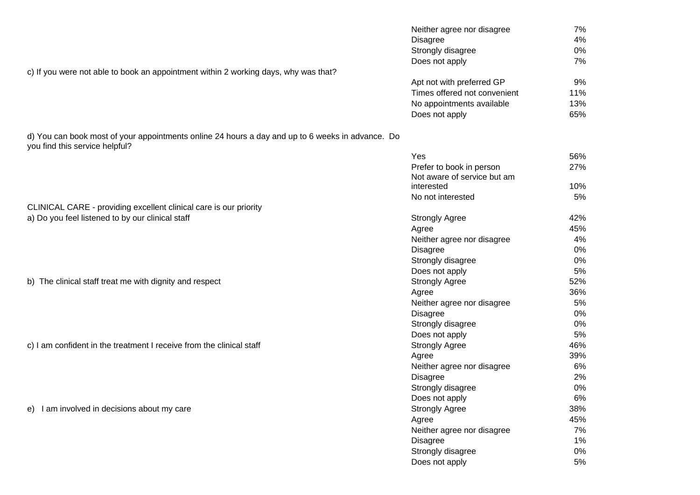|                                                                                                                                    | Neither agree nor disagree   | 7%  |
|------------------------------------------------------------------------------------------------------------------------------------|------------------------------|-----|
|                                                                                                                                    | <b>Disagree</b>              | 4%  |
|                                                                                                                                    | Strongly disagree            | 0%  |
|                                                                                                                                    | Does not apply               | 7%  |
| c) If you were not able to book an appointment within 2 working days, why was that?                                                |                              |     |
|                                                                                                                                    | Apt not with preferred GP    | 9%  |
|                                                                                                                                    | Times offered not convenient | 11% |
|                                                                                                                                    | No appointments available    | 13% |
|                                                                                                                                    | Does not apply               | 65% |
| d) You can book most of your appointments online 24 hours a day and up to 6 weeks in advance. Do<br>you find this service helpful? |                              |     |
|                                                                                                                                    | Yes                          | 56% |
|                                                                                                                                    | Prefer to book in person     | 27% |
|                                                                                                                                    | Not aware of service but am  |     |
|                                                                                                                                    | interested                   | 10% |
|                                                                                                                                    | No not interested            | 5%  |
| CLINICAL CARE - providing excellent clinical care is our priority                                                                  |                              |     |
| a) Do you feel listened to by our clinical staff                                                                                   | <b>Strongly Agree</b>        | 42% |
|                                                                                                                                    | Agree                        | 45% |
|                                                                                                                                    | Neither agree nor disagree   | 4%  |
|                                                                                                                                    | <b>Disagree</b>              | 0%  |
|                                                                                                                                    | Strongly disagree            | 0%  |
|                                                                                                                                    | Does not apply               | 5%  |
| b) The clinical staff treat me with dignity and respect                                                                            | <b>Strongly Agree</b>        | 52% |
|                                                                                                                                    | Agree                        | 36% |
|                                                                                                                                    | Neither agree nor disagree   | 5%  |
|                                                                                                                                    | <b>Disagree</b>              | 0%  |
|                                                                                                                                    | Strongly disagree            | 0%  |
|                                                                                                                                    | Does not apply               | 5%  |
| c) I am confident in the treatment I receive from the clinical staff                                                               | <b>Strongly Agree</b>        | 46% |
|                                                                                                                                    | Agree                        | 39% |
|                                                                                                                                    | Neither agree nor disagree   | 6%  |
|                                                                                                                                    | <b>Disagree</b>              | 2%  |
|                                                                                                                                    | Strongly disagree            | 0%  |
|                                                                                                                                    | Does not apply               | 6%  |
| e) I am involved in decisions about my care                                                                                        | <b>Strongly Agree</b>        | 38% |
|                                                                                                                                    | Agree                        | 45% |
|                                                                                                                                    | Neither agree nor disagree   | 7%  |
|                                                                                                                                    | <b>Disagree</b>              | 1%  |
|                                                                                                                                    | Strongly disagree            | 0%  |
|                                                                                                                                    | Does not apply               | 5%  |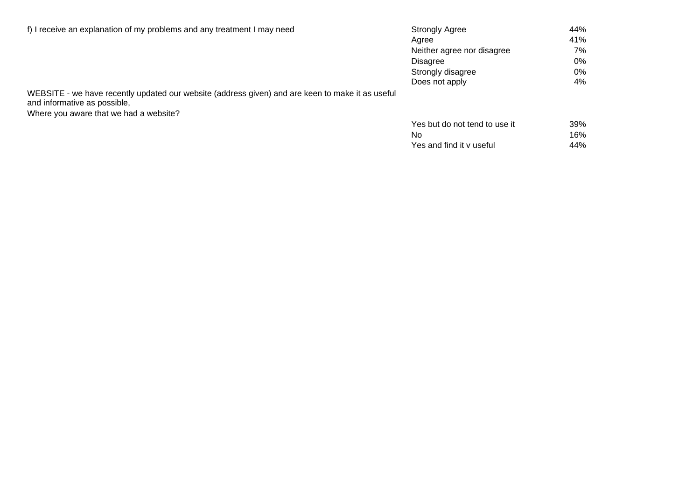| f) I receive an explanation of my problems and any treatment I may need                                                          | <b>Strongly Agree</b>      | 44%  |
|----------------------------------------------------------------------------------------------------------------------------------|----------------------------|------|
|                                                                                                                                  | Aaree                      | 41%  |
|                                                                                                                                  | Neither agree nor disagree | 7% l |
|                                                                                                                                  | Disagree                   | 0%   |
|                                                                                                                                  | Strongly disagree          | 0%   |
|                                                                                                                                  | Does not apply             | 4%   |
| WEBSITE - we have recently updated our website (address given) and are keen to make it as useful<br>and informative as possible, |                            |      |

Where you aware that we had a website?

| Yes but do not tend to use it | 39% |
|-------------------------------|-----|
| No.                           | 16% |
| Yes and find it v useful      | 44% |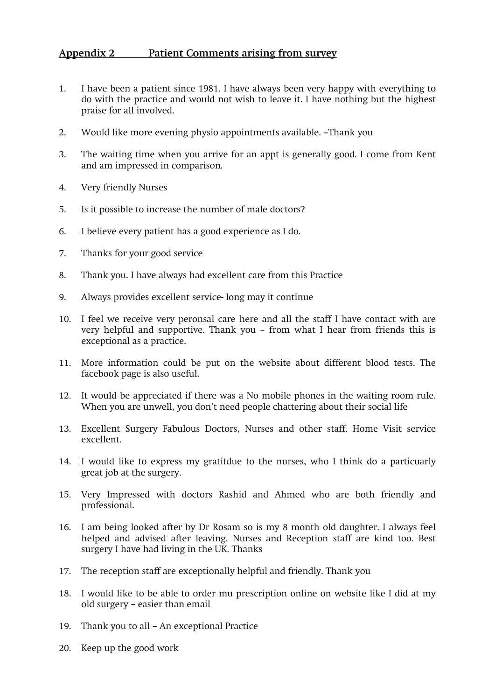### **Appendix 2 Patient Comments arising from survey**

- 1. I have been a patient since 1981. I have always been very happy with everything to do with the practice and would not wish to leave it. I have nothing but the highest praise for all involved.
- 2. Would like more evening physio appointments available. –Thank you
- 3. The waiting time when you arrive for an appt is generally good. I come from Kent and am impressed in comparison.
- 4. Very friendly Nurses
- 5. Is it possible to increase the number of male doctors?
- 6. I believe every patient has a good experience as I do.
- 7. Thanks for your good service
- 8. Thank you. I have always had excellent care from this Practice
- 9. Always provides excellent service- long may it continue
- 10. I feel we receive very peronsal care here and all the staff I have contact with are very helpful and supportive. Thank you – from what I hear from friends this is exceptional as a practice.
- 11. More information could be put on the website about different blood tests. The facebook page is also useful.
- 12. It would be appreciated if there was a No mobile phones in the waiting room rule. When you are unwell, you don't need people chattering about their social life
- 13. Excellent Surgery Fabulous Doctors, Nurses and other staff. Home Visit service excellent.
- 14. I would like to express my gratitdue to the nurses, who I think do a particuarly great job at the surgery.
- 15. Very Impressed with doctors Rashid and Ahmed who are both friendly and professional.
- 16. I am being looked after by Dr Rosam so is my 8 month old daughter. I always feel helped and advised after leaving. Nurses and Reception staff are kind too. Best surgery I have had living in the UK. Thanks
- 17. The reception staff are exceptionally helpful and friendly. Thank you
- 18. I would like to be able to order mu prescription online on website like I did at my old surgery – easier than email
- 19. Thank you to all An exceptional Practice
- 20. Keep up the good work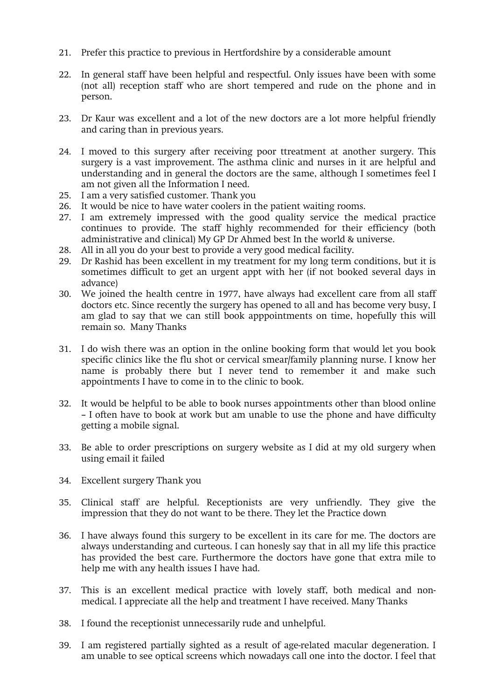- 21. Prefer this practice to previous in Hertfordshire by a considerable amount
- 22. In general staff have been helpful and respectful. Only issues have been with some (not all) reception staff who are short tempered and rude on the phone and in person.
- 23. Dr Kaur was excellent and a lot of the new doctors are a lot more helpful friendly and caring than in previous years.
- 24. I moved to this surgery after receiving poor ttreatment at another surgery. This surgery is a vast improvement. The asthma clinic and nurses in it are helpful and understanding and in general the doctors are the same, although I sometimes feel I am not given all the Information I need.
- 25. I am a very satisfied customer. Thank you
- 26. It would be nice to have water coolers in the patient waiting rooms.
- 27. I am extremely impressed with the good quality service the medical practice continues to provide. The staff highly recommended for their efficiency (both administrative and clinical) My GP Dr Ahmed best In the world & universe.
- 28. All in all you do your best to provide a very good medical facility.
- 29. Dr Rashid has been excellent in my treatment for my long term conditions, but it is sometimes difficult to get an urgent appt with her (if not booked several days in advance)
- 30. We joined the health centre in 1977, have always had excellent care from all staff doctors etc. Since recently the surgery has opened to all and has become very busy, I am glad to say that we can still book apppointments on time, hopefully this will remain so. Many Thanks
- 31. I do wish there was an option in the online booking form that would let you book specific clinics like the flu shot or cervical smear/family planning nurse. I know her name is probably there but I never tend to remember it and make such appointments I have to come in to the clinic to book.
- 32. It would be helpful to be able to book nurses appointments other than blood online – I often have to book at work but am unable to use the phone and have difficulty getting a mobile signal.
- 33. Be able to order prescriptions on surgery website as I did at my old surgery when using email it failed
- 34. Excellent surgery Thank you
- 35. Clinical staff are helpful. Receptionists are very unfriendly. They give the impression that they do not want to be there. They let the Practice down
- 36. I have always found this surgery to be excellent in its care for me. The doctors are always understanding and curteous. I can honesly say that in all my life this practice has provided the best care. Furthermore the doctors have gone that extra mile to help me with any health issues I have had.
- 37. This is an excellent medical practice with lovely staff, both medical and nonmedical. I appreciate all the help and treatment I have received. Many Thanks
- 38. I found the receptionist unnecessarily rude and unhelpful.
- 39. I am registered partially sighted as a result of age-related macular degeneration. I am unable to see optical screens which nowadays call one into the doctor. I feel that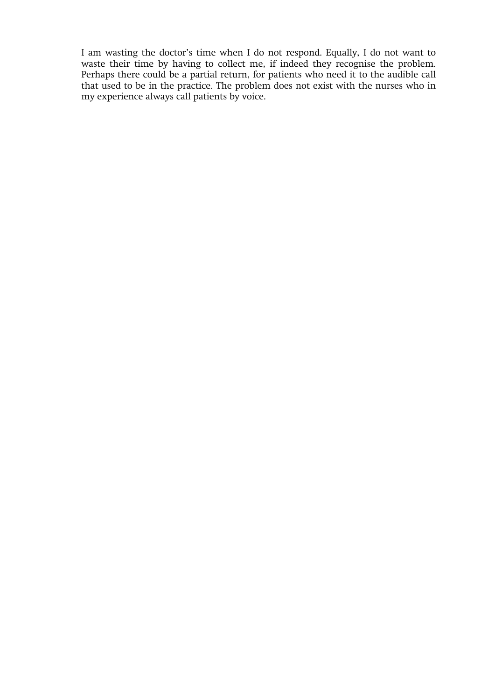I am wasting the doctor's time when I do not respond. Equally, I do not want to waste their time by having to collect me, if indeed they recognise the problem. Perhaps there could be a partial return, for patients who need it to the audible call that used to be in the practice. The problem does not exist with the nurses who in my experience always call patients by voice.